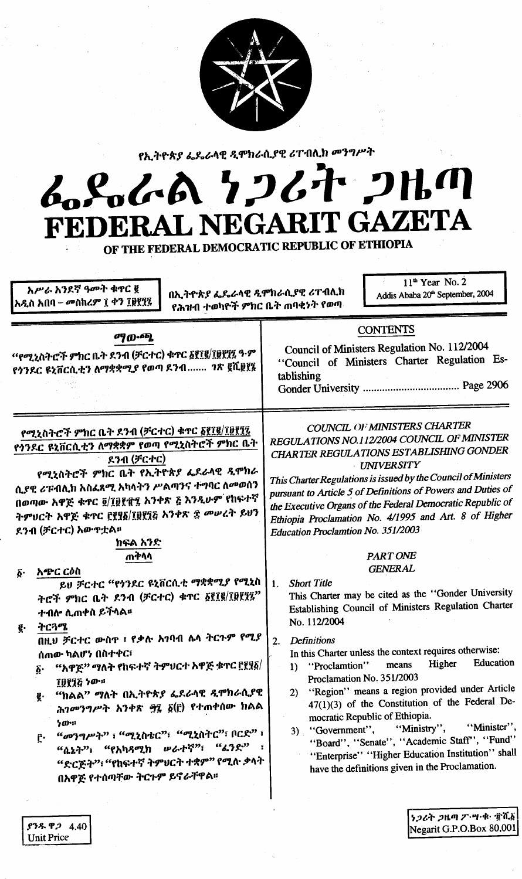

የኢትዮጵያ ፌዴራላዊ ዲሞክራሲያዊ ሪፐብሊክ መንግሥት

# L.S.L.A 7267 2HM **IT GAZETA** L NEGARI **FEDERA**

OF THE FEDERAL DEMOCRATIC REPUBLIC OF ETHIOPIA

| አሥራ አንደኛ ዓመት ቁጥር ፪<br>በኢትዮጵያ ፌዴራላዊ ዲሞክራሲያዊ ሪፐብሲክ<br>[አዲስ አበባ – መስከረም ፲ ቀን ፲፱፻፶፯<br>የሕዝብ ተወካዮች ምክር ቤት ጠባቂነት የወጣ                                                                                                                                                                                                                                                                                                                                                                                                                                                                                                                                                                                                                                                                                                              | $11th$ Year No. 2<br>Addis Ababa 20 <sup>th</sup> September, 2004                                                                                                                                                                                                                                                                                                                                                                                                                                                                                                                                                                                                                                                                                                                                                                                                                                                                                                                                                                                                                                                                                                            |
|-----------------------------------------------------------------------------------------------------------------------------------------------------------------------------------------------------------------------------------------------------------------------------------------------------------------------------------------------------------------------------------------------------------------------------------------------------------------------------------------------------------------------------------------------------------------------------------------------------------------------------------------------------------------------------------------------------------------------------------------------------------------------------------------------------------------------------|------------------------------------------------------------------------------------------------------------------------------------------------------------------------------------------------------------------------------------------------------------------------------------------------------------------------------------------------------------------------------------------------------------------------------------------------------------------------------------------------------------------------------------------------------------------------------------------------------------------------------------------------------------------------------------------------------------------------------------------------------------------------------------------------------------------------------------------------------------------------------------------------------------------------------------------------------------------------------------------------------------------------------------------------------------------------------------------------------------------------------------------------------------------------------|
| <b>ማውጫ</b><br>"የሚኒስትሮች ምክር ቤት ደንብ (ቻርተር) ቁጥር ፩፻፲፪/፲፱፻፶፯ ዓ·ም<br>የጎንዶር ዩኒቨርሲቲን ለማቋቋሚያ የወጣ ዶንብ ገጽ ፪ሺ፱፻፪                                                                                                                                                                                                                                                                                                                                                                                                                                                                                                                                                                                                                                                                                                                        | <b>CONTENTS</b><br>Council of Ministers Regulation No. 112/2004<br>"Council of Ministers Charter Regulation Es-<br>tablishing                                                                                                                                                                                                                                                                                                                                                                                                                                                                                                                                                                                                                                                                                                                                                                                                                                                                                                                                                                                                                                                |
| የሚኒስትሮች ምክር ቤት ደንብ (ቻርተር) ቁጥር ፩፻፲፪/፲፱፻፺፯<br>የጎንዶር ዩኒቨርሲቲን ለማቋቋም የወጣ የሚኒስትሮች ምክር ቤት<br>ደንብ (ቻርተር)<br>የሚኒስትሮች ምክር ቤት የኢትዮጵያ ፌደራላዊ ዲሞክራ<br>ሲያዊ ሪፑብሊክ አስፌጻሚ አካላትን ሥልጣንና ተግባር ለመወሰን<br>በወጣው አዋጅ ቁኖር ፬/፲፱፻፹፯ አንቀጽ ፭ እንዲሁም የከፍተኛ<br>ትምህርት አዋጅ ቁጥር ፫፻፶፩/፲፱፻፺፩ አንቀጽ ፰ መሠረት ይህን<br>ደንብ (ቻርተር) አውዋቷል።<br>ክፍል አንድ<br>ጠቅሳሳ<br>አጭር ርዕስ<br>$\boldsymbol{\delta}$ .<br>ይህ ቻርተር "የጎንዶር ዩኒቨርሲቲ ማቋቋሚያ የሚኒስ<br>ትሮች ምክር ቤት ደንብ (ቻርተር) ቁጥር ፩፻፲፪/፲፱፻፺፯"<br>ተብሎ ሊጠቀስ ይችላል።<br>ትርጓሜ<br>ğ.<br>በዚህ ቻርተር ውስዋ ፣ የቃሉ አገባብ ሴላ ትርጉም የሚያ<br>ሰጠው ካልሆነ በስተቀር፣<br>"አዋጅ" ማለት የከፍተኛ ትምህርተ አዋጅ ቁጥር ፫፻፶፩/<br>Φ.<br><b>10116 ነው።</b><br>"ክልል" ማለት በኢትዮጵያ ፌደራላዊ ዲሞክራሲያዊ<br>g.<br>ሕገመንግሥት አንቀጽ ፵፬ ፩(፫) የተጠቀሰው ክልል<br>ነው።<br>"መንግሥት" ፣ "ሚኒስቴር"፣ "ሚኒስትር"፣ ቦርድ" ፣<br>ŗ٠<br>"ሴኔት"፣ "የአካጻሚክ ሥራተኛ"፣ "ፊንድ" ፣<br>"ድርጅት"፣ "የከፍተኛ ትምሀርት ተቋም" የሚሉ ቃላት<br>በአዋጅ የተሰጣቸው ትርጉም ይኖራቸዋል። | <b>COUNCIL OF MINISTERS CHARTER</b><br>REGULATIONS NO.112/2004 COUNCIL OF MINISTER<br><b>CHARTER REGULATIONS ESTABLISHING GONDER</b><br><b>UNIVERSITY</b><br>This Charter Regulations is issued by the Council of Ministers<br>pursuant to Article 5 of Definitions of Powers and Duties of<br>the Executive Organs of the Federal Democratic Republic of<br>Ethiopia Proclamation No. 4/1995 and Art. 8 of Higher<br>Education Proclamtion No. 351/2003<br><b>PART ONE</b><br><b>GENERAL</b><br><b>Short Title</b><br>1.<br>This Charter may be cited as the "Gonder University<br>Establishing Council of Ministers Regulation Charter<br>No. 112/2004<br><b>Definitions</b><br>2.<br>In this Charter unless the context requires otherwise:<br>Education<br>1) "Proclamtion" means Higher<br>Proclamation No. 351/2003<br>"Region" means a region provided under Article<br>2)<br>47(1)(3) of the Constitution of the Federal De-<br>mocratic Republic of Ethiopia.<br>"Minister",<br>3) "Government", "Ministry",<br>"Board", "Senate", "Academic Staff", "Fund"<br>"Enterprise" "Higher Education Institution" shall<br>have the definitions given in the Proclamation. |
| $$78$ $$2$ 4.40                                                                                                                                                                                                                                                                                                                                                                                                                                                                                                                                                                                                                                                                                                                                                                                                             | ነ <i>ጋ</i> ሪት <i>ጋ</i> ዜጣ ፖ・ሣ・ቁ・ πሺ፩<br>Negarit G.P.O.Box 80,001                                                                                                                                                                                                                                                                                                                                                                                                                                                                                                                                                                                                                                                                                                                                                                                                                                                                                                                                                                                                                                                                                                             |

**Unit Price**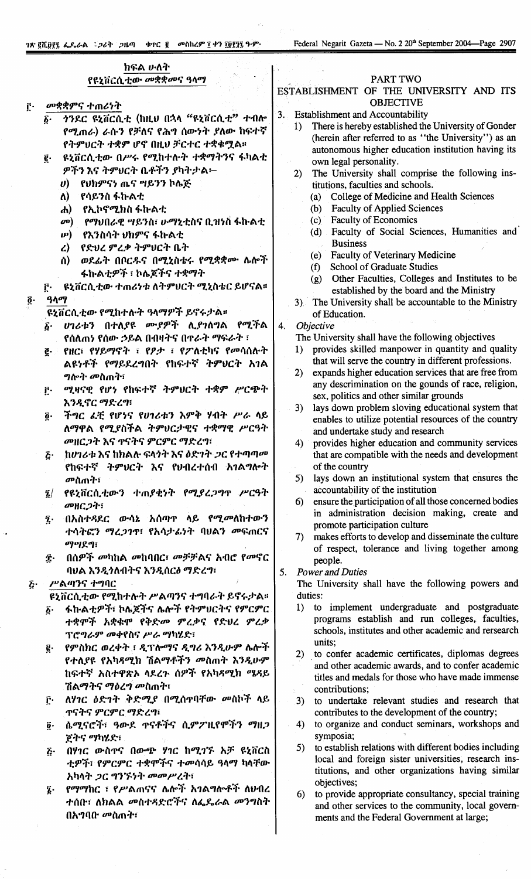# ክፍል ሁለት

# የዩኒቨርሲ ቲው *መ*ቋቋመና ዓላማ

መቋቋምና ተጠሪነት  $\hat{\Gamma}$ .

 $\ddot{\mathbf{0}}$ 

- ንንዶር ዩኒቨርሲቲ (ከዚህ በኋላ "ዩኒቨርሲቲ" ተብሎ  $\overline{b}$ . የሚጠራ) ራሱን የቻለና የሕግ ሰውነት ያለው ከፍተኛ የትምህርት ተቋም ሆኖ በዚህ ቻርተር ተቋቁማል።
- ዩኒቨርሲቲው በሥሩ የሚከተሉት ተቋማትንና ፋካልቲ ë. ዎችን እና ትምሀርት ቤቶችን ያካትታል፦
	- የሀክምናነ ጤና ግይንን ኮሌጅ  $\boldsymbol{\theta}$
	- ለ) -**የሳይንስ ፋኩልቲ**
	- የኢኮኖሚክስ ፋኩልቲ  $\mathbf{r}$
	- *የማህበራዊ ግይን*ስ፣ *ሁማኒቲ*ስና ቢዝነስ ፋኩልቲ  $\boldsymbol{\sigma}$
	- $\boldsymbol{\mu}$ የእንስሳት ሀክምና ፋኩልቲ
	- ረ) የድህረ ምረቃ ትምህርት ቤት
	- ወደፊት በቦርዱና በሚኒስቴሩ የሚቋቋሙ ሴሎች ለ) ፋኩልቲዎች ፣ ኮሌጆችና *ተቋማት*
- ዩኒቨርሲቲው ተጠሪነቱ ለትምሀርት ሚኒስቴር ይሆናል። ŗ٠  $90q$
- ዩኒቨርሲቲው የሚከተሉት ዓላማዎች ይኖሩታል።
- ሀገሪቱን በተለያዩ ሙያዎች ሊያገለግል የሚችል  $\boldsymbol{\delta}$ . የሰለጠነ የሰው ኃይል በብዛትና በዋራት ማፍራት ፣
- e. የዘር፣ የሃይማኖት ፣ የፆታ ፣ የፖለቲካና የመሳሰሉት ልዩነቶች የማይደረግበት የከፍተኛ ትምህርት አገል *ግ*ሎት መስጠት፣
- ሚዛናዊ የሆነ የከፍተኛ ትምህርት ተቋም ሥርጭት f٠ እንዲኖር ማድረግ፣
- ችግር ፈቺ የሆነና የሀገሪቱን እምቅ ሃብት ሥራ ላይ  $\ddot{\bm{o}}\cdot$ ለማዋል የሚያስችል ትምህርታዊና ተቋማዊ ሥርዓት መዘርጋት እና ዋናትና ምርምር ማድረግ፣
- ከሀገሪቱ እና ከክልሉ ፍላጎት እና ዕድገት *ጋ*ር የተጣጣ*ሙ*  $\tilde{b}$ . የከፍተኛ ትምሀርት እና የሀብረተሰብ አገልግሎት መስጠት፣
- የዩኒቨርሲቲውን ተጠያቂነት የሚያረጋግጥ ሥርዓት  $\mathbf{Z}/\mathbf{Z}$ መዘርጋት፣
- በአስተዳደር ውሳኔ አሰጣዋ ላይ የሚመለከተውን ź. ተሳትፎን ማረጋገዋ፣ የአሳታፊነት ባሀልን መፍጠርና **OJUJE 91**
- በሰዎች መካከል መከባበር፣ መቻቻልና አብሮ የመኖር  $\hat{\mathbf{T}}$ . ባህል እንዲጎለብትና እንዲሰርፅ ማድረግ፣

#### $\tilde{c}$ . ሥልጣንና ተግባር

ዩኒቨርሲቲው የሚከተሉት ሥልጣንና ተግባራት ይኖሩታል።

- ፋኩልቲዎች፣ ኮሌጆችና ሌሎች የትምሀርትና የምርምር  $\vec{\delta}$ . ተቋሞች አቋቁሞ የቅድመ ምረቃና የድህረ ምረቃ ፕሮግራም መቀየስና ሥራ ማካሄድ፣
- የምስክር ወረቀት ፣ ዲፕሎማና ዲግሪ እንዲሁም ሌሎች р. የተለያዩ የአካዳሚክ ሽልማቶችን መስጠት እንዲሁም ከፍተኛ አስተዋጽኦ ላደረጉ ሰዎች የአካዳሚክ ሜዳይ ሽልማትና ማዕረግ መስጠተ፣
- ፫· ለሃገር ዕድገት ቅድሚያ በሚሰተባቸው መስኮች ላይ **ጥናትና ምርምር ማድረግ፤**
- ሴሚናሮች፣ ዓውደ ዋናቶችና ሲምፖዚየሞችን ማዘጋ  $\ddot{\mathbf{0}}$  . <u>ጀትና ማካሄድ፣</u>
- በሃገር ውስዋና በውጭ ሃገር ከሚገኙ አቻ ዩኒቨርስ  $\vec{c}$ . ቲዎች፣ የምርምር ተቋሞችና ተመሳሳይ ዓላማ ካላቸው አካላት ጋር ግንኙነት መመሥረት፣
- የማማከር ፣ የሥልጠናና ሌሎች አገልግሎቶች ለሀብረ  $\mathbf{\tilde{z}}$ . ተሰቡ፣ ለክልል መስተዳድሮችና ለፌዴራል መንግስት በአግባቡ መስጠት፣

#### PART TWO

#### ESTABLISHMENT OF THE UNIVERSITY AND ITS **OBJECTIVE**

- **Establishment and Accountability**  $3.$ 
	- There is hereby established the University of Gonder  $1)$ (herein after referred to as "the University") as an autonomous higher education institution having its own legal personality.
	- The University shall comprise the following ins- $2)$ titutions, faculties and schools.
		- $(a)$ College of Medicine and Health Sciences
		- **Faculty of Applied Sciences**  $(b)$
		- (c) Faculty of Economics
		- (d) Faculty of Social Sciences, Humanities and **Business**
		- (e) Faculty of Veterinary Medicine
		- (f) School of Graduate Studies
		- (g) Other Faculties, Colleges and Institutes to be established by the board and the Ministry
	- 3) The University shall be accountable to the Ministry of Education.
- $\overline{4}$ . Objective

The University shall have the following objectives

- provides skilled manpower in quantity and quality  $\mathbf{1}$ that will serve the country in different professions.
- expands higher education services that are free from  $2)$ any descrimination on the gounds of race, religion, sex, politics and other similar grounds
- lays down problem sloving educational system that  $3)$ enables to utilize potential resources of the country and undertake study and research
- $4)$ provides higher education and community services that are compatible with the needs and development of the country
- lays down an institutional system that ensures the  $5)$ accountability of the institution
- 6) ensure the participation of all those concerned bodies in administration decision making, create and promote participation culture
- 7) makes efforts to develop and disseminate the culture of respect, tolerance and living together among people.
- **Power and Duties** 5.

The University shall have the following powers and duties:

- to implement undergraduate and postgraduate  $1)$ programs establish and run colleges, faculties, schools, institutes and other academic and rersearch units:
- to confer academic certificates, diplomas degrees  $2)$ and other academic awards, and to confer academic titles and medals for those who have made immense contributions:
- to undertake relevant studies and research that  $3)$ contributes to the development of the country;
- 4) to organize and conduct seminars, workshops and symposia;
- to establish relations with different bodies including  $5)$ local and foreign sister universities, research institutions, and other organizations having similar objectives;
- to provide appropriate consultancy, special training  $6)$ and other services to the community, local governments and the Federal Government at large;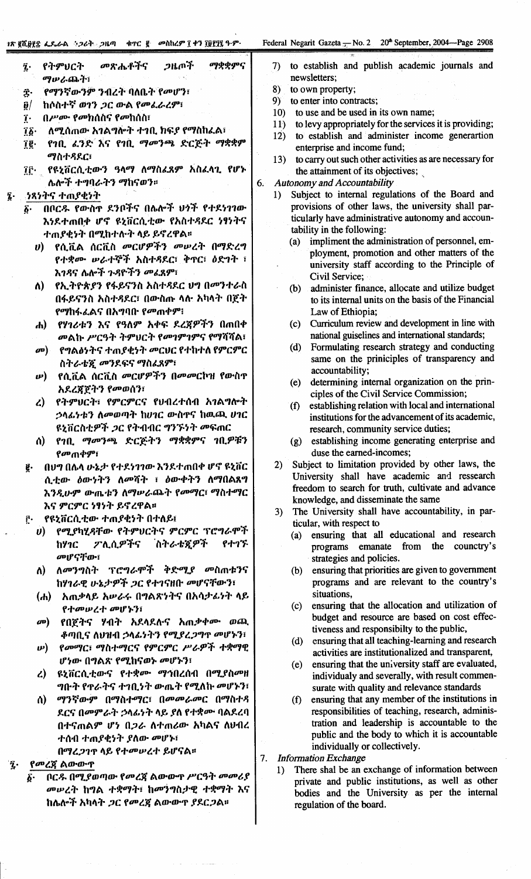# "J\'!lif.it~;t; *u..&-f1\~':>t"".* :>tLtIJ .'I'C!f ODilh~9"1:+1 1:it~ji '}.9'" Federal Negarit Gaz~ta T No.2 20'" September.,2004-Page 2908

 $\mathbf{i}$ 

 $\cdot$ 

 $\ddot{z}$ 

 $\hat{\mathcal{A}}$ 

| ማቋቋምና                                                                          |                                                                                                               |
|--------------------------------------------------------------------------------|---------------------------------------------------------------------------------------------------------------|
| <i>መጽሔቶች</i> ና<br>ጋዜጦች<br>የትምሀርት<br>į.<br>ማሥራጨት፣                               | to establish and publish academic journals and<br>7)<br>newsletters;                                          |
| የማንኛውንም ንብረት ባለቤት የመሆን፣<br>ĵ.                                                  | to own property;<br>8)                                                                                        |
| ከሶስተኛ ወ1ን ጋር ውል የመፌራረም፣<br>$\mathbf{g}/$                                       | to enter into contracts;<br>9)                                                                                |
| በሥሙ የመክሰስና የመከሰስ፣<br>Ţ.                                                        | to use and be used in its own name;<br>10 <sub>2</sub>                                                        |
| ለሚሰጠው አገልግሎት ተገቢ ክፍያ የማስከፈል፣<br>Ţħ∙                                            | to levy appropriately for the services it is providing;<br>11)                                                |
| የገቢ ፈንድ እና የገቢ ማመንጫ ድርጅት ማቋቋም<br>Ţĝ∙                                           | to establish and administer income generartion<br>12)<br>enterprise and income fund;                          |
| ማስተዳደር፣                                                                        | to carry out such other activities as are necessary for<br>13)                                                |
| የዩኒቨርሲቲውን ዓላማ ለማስፈጸም አስፈላጊ የሆኑ<br>Ţŗ∙                                          | the attainment of its objectives;                                                                             |
| ሌሎች ተግባራትን ማከናወን።                                                              | <b>Autonomy and Accountability</b><br>6.                                                                      |
| ንጻነትና ተጠያቂነት                                                                   | Subject to internal regulations of the Board and<br>1)                                                        |
| በቦርዱ የውስዋ ደንቦችና በሌሎች ህንች የተደነገገው<br>$\vec{b}$ .                                | provisions of other laws, the university shall par-                                                           |
| እነደተጠበቃ ሆኖ ዩኒቨርሲቲው የአስተጻደር ነፃነትና                                               | ticularly have administrative autonomy and accoun-<br>tability in the following:                              |
| ተጠያቂነት በሚከተሉት ላይ ይኖረዋል።                                                        | impliment the administration of personnel, em-<br>(a)                                                         |
| የሲቪል ሰርቪስ <i>መርሆዎችን መ</i> ሥረት በማድረግ<br>$\boldsymbol{\theta}$                   | ployment, promotion and other matters of the                                                                  |
| የተቋሙ ሥራተኞች አስተዳደር፣ ቅዋር፣ ዕድገት ፣                                                 | university staff according to the Principle of                                                                |
| እገዳና ሴሎች ጉዳዮችን መፈጸም፣<br>የኢትዮጵያን የፋይናንስ አስተዳደር ህግ በመንተራስ                        | Civil Service;                                                                                                |
| Λ)<br>በፋይናንስ አስተዳደር፣ በውስጡ ላሉ አካላት በጀት                                          | administer finance, allocate and utilize budget<br>(b)<br>to its internal units on the basis of the Financial |
| <i>የማ</i> ከፋፈልና በአግባቡ የመጠቀም፧                                                   | Law of Ethiopia;                                                                                              |
| የሃገሪቱን እና የዓለም አቀፍ ደረጃዎችን በጠበቀ<br>ሐ)                                           | Curriculum review and development in line with<br>(c)                                                         |
| መልኩ ሥርዓት ትምህርት የመገምገምና የማሻሻል፣                                                  | national guiselines and international standards;                                                              |
| የግልፅነትና ተጠያቂነት መርህር የተከተለ የምርምር<br>$\boldsymbol{\sigma}$                       | Formulating research strategy and conducting<br>(d)                                                           |
| ስትራቴጇ መንደፍና ማስፈጸም፣                                                             | same on the priniciples of transparency and                                                                   |
| የሲቪል ሰርቪስ <i>መርሆዎችን በመመ</i> ርኮዝ የውስ <b>ዋ</b><br>$\boldsymbol{\omega})$         | accountability;                                                                                               |
| አደረጃጀትን የመወሰን፣                                                                 | determining internal organization on the prin-<br>(e)<br>ciples of the Civil Service Commission;              |
| የትምህርት፣ የምርምርና የህብረተሰብ አገልግሎት<br>$\mathcal{L}$                                 | establishing relation with local and international<br>(f)                                                     |
| ኃላፊነቱን ለመወጣት ከሀገር ውስዋና ከዉጪ ሀገር                                                 | institutions for the advancement of its academic,                                                             |
| ዩኒቨርስቲዎች <i>ጋ</i> ር የትብብር ግንኙነት መፍጠር                                           | research, community service duties;                                                                           |
| የገቢ ማመንጫ ድርጅትን ማቋቋምና ገቢዎቹን<br>ለ)                                               | (g) establishing income generating enterprise and                                                             |
| <i>የመ</i> ጠቀም፣                                                                 | duse the earned-incomes;<br>Subject to limitation provided by other laws, the                                 |
| በህግ በሌላ ሁኔታ የተደነገገው እንደተጠበቀ ሆኖ ዩኒቨር<br>g.                                      | 2)<br>University shall have academic and ressearch                                                            |
| ሲቲው ዕውነትን ለመሻት ፣ ዕውቀትን ለማበልጸግ<br>እንዲሁም ውጤቱን ለማሥራጨት የመማር፣ ማስተማር                 | freedom to search for truth, cultivate and advance                                                            |
| እና ምርምር ነፃነት ይኖረዋል።                                                            | knowledge, and disseminate the same                                                                           |
| የዩኒቨርሲቲው ተጠያቂነት በተለይ፤<br>Ĉ٠                                                    | The University shall have accountability, in par-<br>3)                                                       |
| υ) የሚያካሂዳቸው የትምህርትና ምርምር ፕሮግራሞች                                                | ticular, with respect to                                                                                      |
| ፖሊሲዎችና ስትራቴጂዎች<br>የተገኙ<br>ከሃንር                                                 | (a) ensuring that all educational and research<br>programs emanate from the counctry's                        |
| መሆናቸው፣                                                                         | strategies and policies.                                                                                      |
| ለመንግስት ፕሮግራሞች ቅድሚያ መስጠቱንና<br>$\Lambda$                                         | ensuring that priorities are given to government<br>(b)                                                       |
| ከሃገራዊ ሁኔታዎች ጋር የተገናዘቡ መሆናቸውን፣                                                  | programs and are relevant to the country's                                                                    |
| አጠቃላይ አሥራሩ በግልጽነትና በአሳታፊነት ላይ<br>(h)                                           | situations,                                                                                                   |
| የተመሠረተ መሆኑን፤                                                                   | ensuring that the allocation and utilization of<br>(c)<br>budget and resource are based on cost effec-        |
| የበጀትና ሃብት አደላደሉና አጠቃቀሙ ወጪ<br>$\boldsymbol{\sigma}$                             | tiveness and responsibilty to the public,                                                                     |
| ቆጣቢና ለህዝብ ኃላፊነትን የሚያረጋግጥ መሆኑን፣                                                 | ensuring that all teaching-learning and research<br>(d)                                                       |
| የመማር፣ ማስተማርና የምርምር ሥራዎች ተቋማዊ<br>$\boldsymbol{\nu}$                             | activities are institutionalized and transparent,                                                             |
| ሆነው በግልጽ የሚከናወኑ መሆኑን፣                                                          | ensuring that the university staff are evaluated,<br>(e)                                                      |
| ዩኒቨርሲቲውና የተቋሙ ማኅበረሰብ በሚያስመዘ<br>$\mathcal{L}$<br>ግቡት የጥራትና ተገቢነት ውጤት የሚለኩ መሆኑን፣ | individualy and severally, with result commen-                                                                |
| ማንኛውም በማስተማር፣ በመመራመር በማስተዳ<br>ለ)                                               | surate with quality and relevance standards<br>ensuring that any member of the institutions in<br>(f)         |
| ደርና በመምራት ኃላፊነት ላይ ያለ የተቋሙ ባልደረባ                                               | responsibilities of teaching, research, adminis-                                                              |
| በተናጠልም ሆነ በ <i>ጋራ</i> ለተጠሪው አካልና ለህብረ                                          | tration and leadership is accountable to the                                                                  |
| ተሰብ ተጠያቂነት ያለው መሆኑ፣                                                            | public and the body to which it is accountable                                                                |
| በማረጋገጥ ላይ የተመሠረተ ይሆናል።                                                         | individually or collectively.                                                                                 |
| የመረጀ ልውውዋ                                                                      | <b>Information Exchange</b><br>7.<br>There shal be an exchange of information between                         |
| ቦርዱ በሚያወጣው የመረጃ ልውውዋ ሥርዓት መመሪያ<br>$\vec{b}$ .                                  | 1)<br>private and public institutions, as well as other                                                       |
| መሥረት ከግል ተቋማት፥ ከመንግስታዊ ተቋማት እና                                                 | bodies and the University as per the internal                                                                 |
| ከሴሎች አካላት <i>ጋር የመረጀ</i> ልውውጥ ያደር <i>ጋ</i> ል፡፡                                 | regulation of the board.                                                                                      |

 $\Bigg\}$ 

 $\hat{r}$ 

 $\alpha$  ,  $\alpha$  ,  $\beta$  ,  $\alpha$  ,  $\beta$  , and  $\alpha$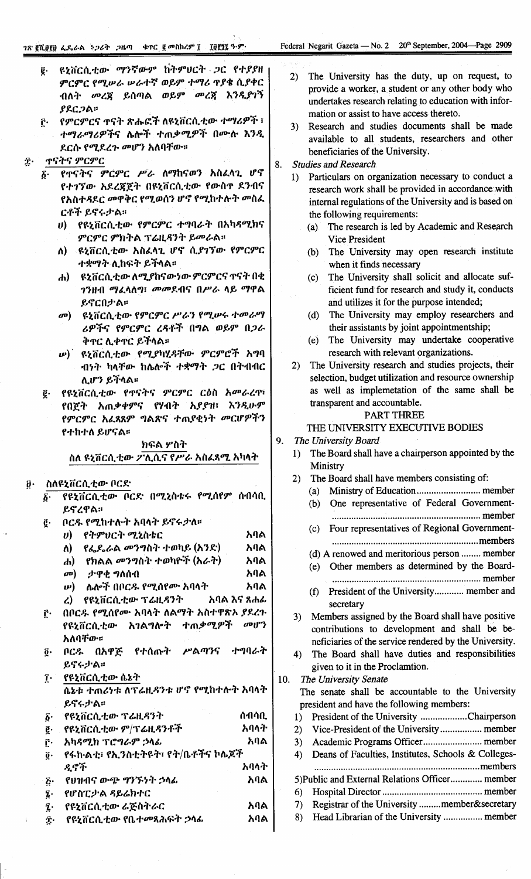- ዩኒቨርሲቲው ማንኛውም ከትምሀርት ጋር የተያያዘ  $\ddot{\mathbf{g}}$ . ምርምር የሚሥራ ሥራተኛ ወይም ተማሪ ጥያቄ ሲያቀር ብለት መረጀ ይሰጣል ወይም መረጀ እንዲያገኝ  $PAC2A$
- <u>፫· የምርምርና ዋናት ጽሑፎች ለዩኒቨርሲቲው ተማሪዎች ፣</u> ተማራማሪዎችና ሌሎች ተጠቃሚዎች በሙሉ እንዲ ደርሱ የሚደረጉ መሆን አለባቸው።
- **ጥናትና ምርምር** Ĵ٠
	- የዋናትና ምርምር ሥራ ለማከናወን አስፈላጊ ሆኖ  $\boldsymbol{\delta}$ . የተገኘው አደረጃጀት በዩኒቨርሲቲው የውስዋ ደንብና የአስተዳደር መዋቅር የሚወሰን ሆኖ የሚከተሉት መስፌ ርቶች ይኖሩታል።
		- የዩኒቨርሲቲው የምርምር ተግባራት በአካዳሚክና D) ምርምር ምክትል ፕሬዚዳንት ይመራል።
		- ዩኒቨርሲቲው አስፈላጊ ሆኖ ሲያገኘው የምርምር  $\Lambda$ ) ተቋማት ሊከፍት ይችላል።
		- ዩኒቨርሲቲው ለሚያከናውነው ምርምርና ተናት በቂ  $\mathbf{d}$ ገንዘብ ማፈላለግ፣ መመደብና በሥራ ላይ ማዋል ይኖርበታል።
		- መ) ዩኒቨርሲቲው የምርምር ሥራን የሚሡሩ ተመራማ ሪዎችና የምርምር ረዳቶች በግል ወይም በጋራ ቅኖር ሊቀኖር ይችላል።
		- *w*) ዩኒቨርሲቲው የሚያካሂዳቸው ምርምሮች አግባ ብንት ካላቸው ከሌሎች ተቋማት *ጋ*ር በትብብር ሊሆን ይችላል።
	- የዩኒቨርሲቲው የጥናትና ምርምር ርዕስ አመራረጥ፣ ę. የበጀት አጠቃቀምና የሃብት አያያዝ፣ እንዲሁም የምርምር አፈጻጸም ግልጽና ተጠያቂነት መርሆዎችን የተከተለ ይሆናል።

### ክፍል ሦስት

ስለ ዩኒቨርሲቲው ፖሊሲና የሥራ አስፈጻሚ አካላት

#### ስለዩኔቨርሲቲው ቦርድ

| $\vec{b}$                        | የዩኒቨርሲቲው ቦርድ በሚኒስቴሩ የሚሰየም ሰብሳቢ             |      |
|----------------------------------|--------------------------------------------|------|
|                                  | ይኖረዋል፡፡                                    |      |
| ę.                               | ቦርዱ የሚከተሉት አባላት ይኖሩታለ።                     |      |
|                                  | υ) የትምህርት ሚኒስቴር                            | አባል  |
|                                  | ለ) የፌዴራል መንግስት ተወካይ (አንድ)                  | አባል  |
|                                  | ሐ) የክልል መንግስት ተወካዮች (አራት)                  | አባል  |
|                                  | ታዋቂ ግለሰብ<br>$\boldsymbol{\sigma}$          | አባል  |
|                                  | <i>ሡ</i> ) - ሌሎች በቦር <i>ዱ</i> የሚሰየሙ አባላት - | አባል  |
|                                  | ረ) የዩኒቨርሲቲው ፕሬዚዳንት አባል እና ጸሐፊ              |      |
| ŕ٠                               | በቦርዱ የሚሰየሙ አባላት ለልማት አስተዋጽኦ ያደረጉ           |      |
|                                  | የዩኒቨርሲቲው አገልግሎት ተጠቃሚዎች <i>መ</i> ሆን         |      |
|                                  | አለባቸው።                                     |      |
| $\mathbf{\tilde{g}}$ .           | ቦርዱ በአዋጅ የተሰጡት ሥልጣንና ተግባራት                 |      |
|                                  | ይኖሩታል።                                     |      |
|                                  | ፲ የዩኒቨርሲቲው ሴኔት                             |      |
| ሴኔቱ ተጠሪነቱ ለፕሬዚዳንቱ ሆኖ የሚከተሉት አባላት |                                            |      |
|                                  | ይኖሩታል።                                     |      |
|                                  | ሰብሳቢ<br>፩· የዩኒቨርሲቲው ፕሬዚዳንት                 |      |
|                                  | ፪ የዩኒቨርሲቲው ም/ፕሬዚዳንቶች                       | አባላት |
| ŗ٠                               | አካዳሚክ ፕሮግራም ኃላፊ                            | አባል  |
| $\mathbf{0}$ .                   | የፋኩልቲ፣ የኢንስቲትዩት፣ የት/ቤቶችና ኮሌጆች              |      |
|                                  | ዲኖች                                        | አባላት |
| $\mathbf{\tilde{g}}$ .           | የሀዝብና ውጭ ግንኙነት ኃላፊ                         | አባል  |
| $\mathbf{\bar{i}}$ .             | የሆስፒታል ዳይሬክተር                              |      |
|                                  | ፯· የዩኒቨርሲቲው ሬጅስትራር                         | አባል  |
| Ţ.                               | የዩኒቨርሲቲው የቤተመጻሕፍት <i>ኃ</i> ላፊ              | አባል  |
|                                  |                                            |      |

- 2) The University has the duty, up on request, to provide a worker, a student or any other body who undertakes research relating to education with information or assist to have access thereto.
- 3) Research and studies documents shall be made available to all students, researchers and other beneficiaries of the University.
- $\mathbf{R}$ Studies and Research
	- 1) Particulars on organization necessary to conduct a research work shall be provided in accordance with internal regulations of the University and is based on the following requirements:
		- The research is led by Academic and Research  $(a)$ **Vice President**
		- The University may open research institute  $(b)$ when it finds necessary
		- The University shall solicit and allocate suf- $(c)$ ficient fund for research and study it, conducts and utilizes it for the purpose intended;
		- The University may employ researchers and  $(d)$ their assistants by joint appointmentship;
		- (e) The University may undertake cooperative research with relevant organizations.
	- The University research and studies projects, their  $2)$ selection, budget utilization and resource ownership as well as implemetation of the same shall be transparent and accountable.

# **PART THREE**

#### THE UNIVERSITY EXECUTIVE BODIES

- 9. The University Board
	- 1) The Board shall have a chairperson appointed by the Ministry
	- The Board shall have members consisting of:  $2)$ 
		- $(a)$
		- One representative of Federal Government- $(b)$ 
			-
		- (c) Four representatives of Regional Government-
		- (d) A renowed and meritorious person ........ member
		- (e) Other members as determined by the Board-
		- (f) President of the University............. member and secretary
	- 3) Members assigned by the Board shall have positive contributions to development and shall be beneficiaries of the service rendered by the University.
	- The Board shall have duties and responsibilities  $4)$ given to it in the Proclamtion.

#### 10. The University Senate The senate shall be accountable to the University president and have the following members: 1) President of the University .....................Chairperson Vice-President of the University.................. member  $(2)$  $3)$ Deans of Faculties, Institutes, Schools & Colleges- $4)$ 5) Public and External Relations Officer............. member  $6)$ Registrar of the University .........member&secretary  $7)$

8) Head Librarian of the University ................. member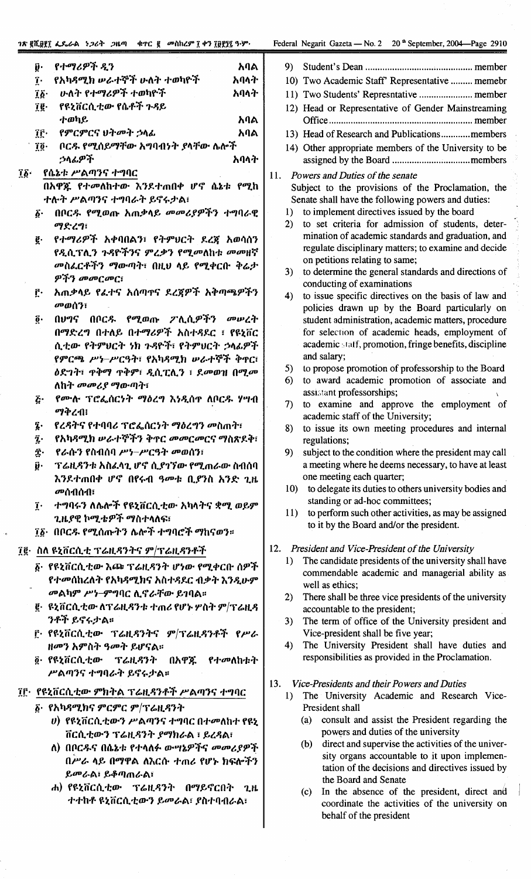#### าร ฮูกี.ตูรู

### egarit Gazeta — No. 2  $20<sup>th</sup>$  September, 2004—Page 2910

- 
- wo Academic Staff' Representative ......... memebr
- 
- ead or Representative of Gender Mainstreaming
- lead of Research and Publications............members
- ther appropriate members of the University to be
- ers and Duties of the senate ect to the provisions of the Proclamation, the te shall have the following powers and duties:
	- implement directives issued by the board
	- set criteria for admission of students, deterination of academic standards and graduation, and gulate disciplinary matters; to examine and decide n petitions relating to same;
	- determine the general standards and directions of onducting of examinations
	- issue specific directives on the basis of law and olicies drawn up by the Board particularly on udent administration, academic matters, procedure or selection of academic heads, employment of cademic staff, promotion, fringe benefits, discipline nd salary;
	- propose promotion of professorship to the Board
	- award academic promotion of associate and sistant professorships;
	- examine and approve the employment of ademic staff of the University;
	- issue its own meeting procedures and internal gulations:
	- object to the condition where the president may call meeting where he deems necessary, to have at least ne meeting each quarter;
	- to delegate its duties to others university bodies and standing or ad-hoc committees;
	- to perform such other activities, as may be assigned to it by the Board and/or the president.

## dent and Vice-President of the University

- he candidate presidents of the university shall have ommendable academic and managerial ability as ell as ethics:
- here shall be three vice presidents of the university countable to the president;
- he term of office of the University president and ice-president shall be five year;
- he University President shall have duties and sponsibilities as provided in the Proclamation.

## -Presidents and their Powers and Duties

- he University Academic and Research Viceresident shall
	- consult and assist the President regarding the powers and duties of the university
	- direct and supervise the activities of the university organs accountable to it upon implementation of the decisions and directives issued by the Board and Senate
	- In the absence of the president, direct and  $(c)$ coordinate the activities of the university on behalf of the president

| <i>ገጽ</i> ፪ሺ፱፻፲ ፌዴራል <i>ኑጋ</i> ሪት <i>ጋ</i> ዜጣ<br>_ ቁጥር  ፪ _ መስከረም ፲ ቀን ፲፱፻፶፯ ዓ·ም· |      | Federal Ne         |
|-----------------------------------------------------------------------------------|------|--------------------|
| የተማሪዎች ዲን<br>ŷ٠                                                                   | አባል  | St<br>9)           |
| የአካዳሚክ ሥራተኞች ሁለት ተወካዮች<br>ĩ.                                                      | አባላት | $10)$ T            |
| <u>ሁለት የተማሪዎች ተወካዮች</u><br>$\mathbf{\hat{a}}\mathbf{\hat{b}}$                     | አባላት | $11)$ T            |
| የዩኒቨርሲቲው የሴቶች ጉዳይ<br>ïg∙                                                          |      | $12)$ H            |
| ተወካይ                                                                              | አባል  | O                  |
| ÎĈ∙<br>የምርምርና ህትመት ኃላፊ                                                            | አባል  | 13) H              |
| ቦርዱ የሚሰይማቸው አግባብነት ያላቸው ሴሎች<br>Tō∙                                                |      | 14) O              |
| ኃላፊዎች                                                                             | አባላት | as                 |
| የሴኔቱ ሥልጣንና ተግባር<br>$\mathbf{1}\bar{\mathbf{2}}$ .                                 |      | 11.                |
| በአዋጁ የተመለከተው እንደተጠበቀ ሆኖ ሴኔቱ የሚከ                                                   |      | Pow<br>Subj        |
| ተሉት ሥልጣንና ተግባራት ይኖሩታል፣                                                            |      | Sena               |
| በቦር <i>ዱ የሚ</i> ወጡ አጠቃላይ <i>መመሪያዎችን ተግ</i> ባራዊ<br>$\vec{b}$ .                     |      | 1)<br>to           |
| ማድረግ፣                                                                             |      | 2)<br>to           |
| የተማሪዎች አቀባበልን፣ የትምህርት ደረጀ አወሳሰን<br>g.                                             |      | m                  |
| የዲሲፕሊን ጉዳዮችንና ምረቃን የሚመለከቱ መመዘኛ                                                    |      | re                 |
| <i>መ</i> ስፌርቶችን ማውጣት፣ በዚህ ላይ የሚቀርቡ ቅሬ <i>ታ</i>                                    |      | <sub>O1</sub>      |
| ዎችን መመርመር፣                                                                        |      | 3)<br>to           |
| አጠቃላይ የፈተና አሰጣዋና ደረጀዎች አቅጣጫዎችን<br>ŗ٠                                              |      | cc                 |
| መወሰን፣                                                                             |      | 4)<br>to           |
| በህግና በቦር <i>ዱ የሚ</i> ወጡ ፖሊሲዎችን መሠረት<br>ğ٠                                         |      | po                 |
| በማድረግ በተለይ በተማሪዎች አስተዳደር ፣ የዩኒቨር                                                  |      | st<br>fo           |
| ሲቲው የትምሀርት ነክ ጉዳዮች፣ የትምሀርት ኃላፊዎች                                                  |      | ac                 |
| የምርጫ ሥነ–ሥርዓት፣ የአካዳሚክ ሥራተኞች ቅዋር፣                                                   |      | <b>ar</b>          |
|                                                                                   |      | 5)<br>to           |
|                                                                                   |      | 6)<br>to           |
| ለከት <i>መመሪያ</i> ማውጣት፣                                                             |      | as                 |
| የሙሉ ፕሮፌሰርነት ማዕረግ እነዲሰዋ ለቦርዱ ሃሣብ<br>Ŀ،<br>ማቅረብ፥                                    |      | 7)<br>to           |
|                                                                                   |      | ac                 |
| የረዳትና የተባባሪ ፕሮፌሰርነት ማዕረግን <b>መስ</b> ጠት፣<br>ī.<br>የአካዳሚክ ሥራተኞችን ቅዋር መመርመርና ማስጽደቅ፣  |      | 8)<br>to           |
| ź.                                                                                |      | re                 |
| Ţ.<br>. የራሱን የስብሰባ ሥነ–ሥርዓት መወሰን፣                                                  |      | 9)<br>su           |
| ŷ.<br>ፕሬዚዳንቱ አስፈላጊ ሆኖ ሲያገኘው የሚጠራው ስብሰባ                                            |      | a i<br><b>OI</b>   |
| እንደተጠበቀ ሆኖ በየሩብ ዓመቱ ቢያንስ አንድ ጊዜ                                                   |      | 10)<br>t           |
| መሰብሰብ፣                                                                            |      | S                  |
| ተግባሩን ለሴሎች የዩኒቨርሲቲው አካላትና ቋሚ ወይም<br>$\mathbf{r}$                                  |      | 11)<br>$\mathbf t$ |
| ጊዜያዊ ኮሚቴዎች ማስተላለፍ፣                                                                |      | t                  |
| ፲፩• በቦርዱ የሚሰጡትን ሌሎች ተግባሮች ማከናወን።                                                  |      |                    |
| ፲፪· ስለ ዩኒቨርሲቲ ፕሬዚዳንትና ም/ፕሬዚዳንቶች                                                   |      | 12.<br>Presi       |
| ፩· የዩኒቨርሲቲው እጮ ፕሬዚዳንት ሆነው የሚቀርቡ ሰዎች                                               |      | 1)<br>TI           |
| የተመሰከረለት የአካዳሚክና አስተዳደር ብቃት እንዲሁም                                                 |      | cc                 |
| መልካም ሥነ–ምግባር ሊኖራቸው ይገባል።                                                          |      | W<br>TI            |
| ፪· ዩኒቨርሲቲው ለፕሬዚዳንቱ ተጠሪ የሆኑ ሦስት ም/ፕሬዚዳ                                             |      | 2)<br>ac           |
| ንቶች ይኖሩታል።                                                                        |      | 3)<br>TI           |
| ፫· የዩኒቨርሲቲው ፕሬዚዳንትና ም/ፕሬዚዳንቶች የሥራ                                                 |      | V                  |
| ዘመን አምስት ዓመት ይሆናል፡፡                                                               |      | TI<br>4)           |
| ፬· የዩኒቨርሲቲው ፕሬዚዳንት በአዋጁ የተመለከቱት                                                   |      | re                 |
| ሥልጣንና ተግባራት ይኖሩታል።                                                                |      |                    |
|                                                                                   |      | 13.<br>Vice        |
| ፲፫· የዩኒቨርሲቲው ምክትል ፕሬዚዳንቶች ሥልጣንና ተግባር                                              |      | 1)<br>TI           |
| ፩· የአካዳሚክና ምርምር ም/ፕሬዚዳንት                                                          |      | P <sub>I</sub>     |
| <i>ሀ)  የ</i> ዩኒቨርሲቲውን ሥልጣንና ተግባር በተመለከተ የዩኒ                                       |      | (a)                |
| ቨርሲቲውን ፕሬዚዳንት ያማክራል ፣ ይረዳል፣                                                       |      | (b)                |
| $\lambda$ ) በበሮዴሮ በሲኑቲ ይተለለፌ ሙሣኑዎችሮ መመፈፀዎች                                        |      |                    |

- *ዱ*ና በቤኔቱ የተላለፉ ውሣኔዎተና *መመሪያዎ* ት በሥራ ላይ በማዋል ለእርሱ ተጠሪ የሆኑ ክፍሎችን ይመራል፣ ይቆጣጠራል፣
- ሐ) የዩኒቨርሲቲው ፕሬዚዳንት በማይኖርበት ጊዜ ተተከቶ ዩኒቨርሲቲውን ይመራል፣ ያስተባብራል፣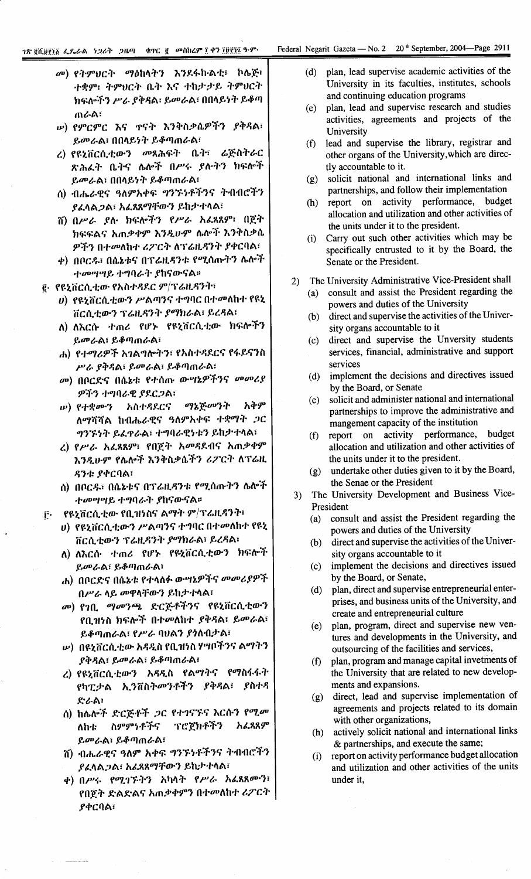- መ) የትምህርት ማዕከላትን እንደፋኩልቲ፣ ኮሌጅ፣ ተቋም፣ ትምሀርት ቤት እና ተከታታይ ትምሀርት ክፍሎችን ሥራ ያቅዳል፣ ይመራል፣ በበላይነት ይቆጣ ጠራል፣
- **ω) የምርምር እና ጥናት እንቅስቃሴዎችን ያቅዳል**፣ ይመራል፣ በበላይነት ይቆጣጠራል፣
- ረ) የዩኒቨርሲቲውን መጻሕፍት ቤት፣ ሬጅስትራር ጽሕፈት ቤትና ሌሎች በሥሩ ያሉትን ክፍሎች ይመራል፣ በበላይነት ይቆጣጠራል፣
- ሰ) ብሔራዊና ዓለምአቀፍ ግንኙነቶችንና ትብብሮችን ያፈላል*ጋ*ል፣ አፈጸጸማቸውን ይከታተላል፣
- ሽ) በሥራ ያሉ ክፍሎችን የሥራ አፈጻጸም፣ በጀት ክፍፍልና አጠቃቀም እንዲሁም ሴሎች እንቅስቃሴ ዎችን በተመለከተ ሪፖርት ለፕሬዚዳንት ያቀርባል፣
- ቀ) በቦርዱ፣ በሴኔቱና በፕሬዚዳንቱ የሚሰጡትን ሌሎች ተመሣሣይ ተግባራት ያከናውናል።
- ፪· የዩኒቨርሲቲው የአስተዳደር ም/ፕሬዚዳንት፣
	- ሀ) የዩኒቨርሲቲውን ሥልጣንና ተግባር በተመለከተ የዩኒ ቨርሲቲውን ፕሬዚዳንት ያማክራል፣ ይረዳል፣
	- ለ) ለእርሱ ተጠሪ የሆኑ የዩኒቨርሲቲው ክፍሎችን ይመራል፣ ይቆጣጠራል፣
	- ሐ) የተማሪዎች አገልግሎትን፣ የአስተዳደርና የፋይናንስ ሥራ ያቅዳል፣ ይመራል፣ ይቆጣጠራል፣
	- መ) በቦርድና በሴኔቱ የተሰጡ ውሣኔዎችንና *መመሪያ* ዎችን ተግባራዊ ያደርጋል፣
	- አቅም ማኔጅመንት  $(\nu)$  የተቋሙን አስተዳደርና ለማሻሻል ከብሔራዊና ዓለምአቀፍ ተቋማት ጋር ግንኙነት ይፈዋራል፣ ተግባራዊነቱን ይከታተላል፣
	- ረ) የሥራ አፈጻጸም፣ የበጀት አመዳደብና አጠቃቀም እንዲሁም የሴሎች እንቅስቃሴችን ሪፖርት ለፕሬዚ ዳንቱ ያቀርባል፣
	- ሰ) በቦርዱ፣ በሴኔቱና በፕሬዚዳንቱ የሚሰጡትን ሴሎች ተመሣሣይ ተግባራት ያከናውናል።
- የዩኒቨርሲቲው የቢዝነስና ልማት ም/ፕሬዚዳንት፣  $\mathbf{r}$ 
	- ሀ) የዩኒቨርሲቲውን ሥልጣንና ተግባር በተመለከተ የዩኒ ቨርሲቲውን ፕሬዚዳንት ያማክራል፣ ይረዳል፣
	- ለ) ለእርሱ ተጠሪ የሆኑ የዩኒቨርሲቲውን ክፍሎች ይመራል፣ ይቆጣጠራል፣
	- ሐ) በቦርድና በሴኔቱ የተላለፉ ውሣኔዎችና መመሪያዎች በሥራ ላይ መዋላቸውን ይከታተላል፣
	- መ) የገቢ *ማመንጫ* ድርጅቶችንና የዩኒቨርሲቲውን የቢዝነስ ክፍሎች በተመለከተ ያቅዳል፣ ይመራል፣ ይቆጣጠራል፣ የሥራ ባህልን ያነለብታል፣
	- *w*) በዩኒቨርሲቲው አዳዲስ የቢዝነስ ሃሣቦችንና ልማትን ያቅዳል፣ ይመራል፣ ይቆጣጠራል፣
	- ረ) የዩኒቨርሲቲውን አዳዲስ የልማትና የማስፋፋት የካፒታል ኢንቨስትመንቶችን ያቅዳል፣ ያስተዳ ድራል፣
	- ስ) ከሌሎች ድርጅቶች ጋር የተገናኙና እርሱን የሚመ ስምምነቶችና ፕሮጀክቶችን አፈጻጸም ለከቱ ይመራል፣ ይቆጣጠራል፣
	- ሽ) ብሔራዊና ዓለም አቀፍ ግንኙነቶችንና ትብብሮችን ያፈላል*ጋ*ል፣ አፈጸጸማቸውን ይከታተላል፣
	- ቀ) በሥሩ የሚገኙትን አካላት የሥራ አፌጻጸሙን፣ የበጀት ድልድልና አጠቃቀምን በተመለከተ ሪፖርት **ያቀርባል፣**
- plan, lead supervise academic activities of the  $(d)$ University in its faculties, institutes, schools and continuing education programs
- plan, lead and supervise research and studies  $(e)$ activities, agreements and projects of the University
- lead and supervise the library, registrar and  $(f)$ other organs of the University, which are directly accountable to it.
- solicit national and international links and  $(g)$ partnerships, and follow their implementation
- (h) report on activity performance, budget allocation and utilization and other activities of the units under it to the president.
- (i) Carry out such other activities which may be specifically entrusted to it by the Board, the Senate or the President.
- The University Administrative Vice-President shall  $2)$ 
	- consult and assist the President regarding the powers and duties of the University
	- direct and supervise the activities of the Univer- $(b)$ sity organs accountable to it
	- direct and supervise the Unversity students  $(c)$ services, financial, administrative and support services
	- implement the decisions and directives issued  $(d)$ by the Board, or Senate
	- solicit and administer national and international  $(e)$ partnerships to improve the administrative and mangement capacity of the institution
	- report on activity performance, budget  $(f)$ allocation and utilization and other activities of the units under it to the president.
	- undertake other duties given to it by the Board,  $(g)$ the Senae or the President
- The University Development and Business Vice- $3)$ President
	- consult and assist the President regarding the  $(a)$ powers and duties of the University
	- direct and supervise the activities of the Univer- $(b)$ sity organs accountable to it
	- implement the decisions and directives issued  $(c)$ by the Board, or Senate,
	- plan, direct and supervise entrepreneurial enter- $(d)$ prises, and business units of the University, and create and entrepreneurial culture
	- plan, program, direct and supervise new ven- $(e)$ tures and developments in the University, and outsourcing of the facilities and services,
	- plan, program and manage capital invetments of  $(f)$ the University that are related to new developments and expansions.
	- (g) direct, lead and supervise implementation of agreements and projects related to its domain with other organizations,
	- (h) actively solicit national and international links & partnerships, and execute the same;
	- report on activity performance budget allocation  $(i)$ and utilization and other activities of the units under it,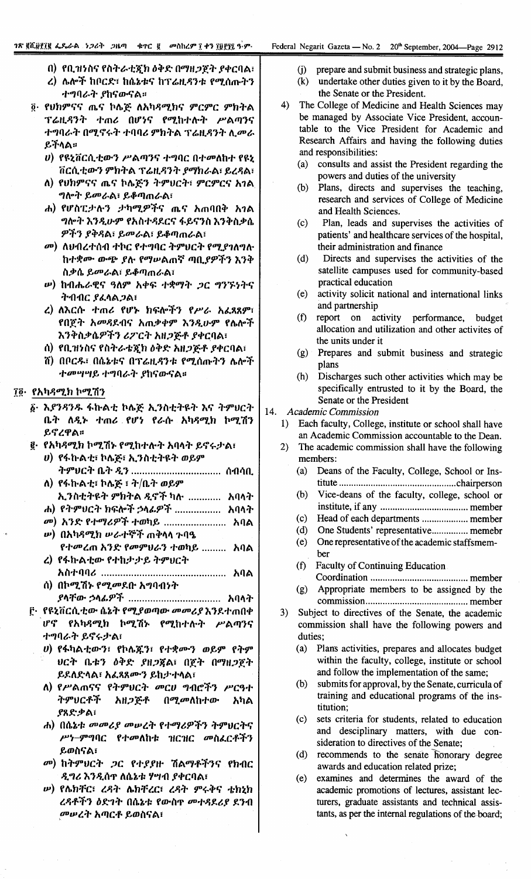- በ) የቢዝነስና የስትራቲጀክ ዕቅድ በማዘጋጀት ያቀርባል፣ ረ) ሌሎች ከቦርድ፣ ከሴኔቱና ከፕሬዚዳንቱ የሚሰጡትን
- ተግባራት ያከናውናል።
- ፬· የህክምናና ጤና ኮሌጅ ለአካዳሚክና ምርምር ምክትል ፕሬዚዳንት ተጠሪ በሆነና የሚከተሉት ሥልጣንና ተግባራት በሚኖሩት ተባባሪ ምክትል ፕሬዚዳንት ሊመራ ይችላል።
	- υ) የዩኒቨርሲቲውን ሥልጣንና ተግባር በተመለከተ የዩኒ ቨርሲቲውን ምክትል ፕሬዚዳንት ያማክራል፣ ይረዳል፣
	- ለ) የህክምናና ጤና ኮሌጅን ትምህርት፣ ምርምርና አገል ግሎት ይመራል፣ ይቆጣጠራል፣
	- ሐ) የሆስፒታሉን ታካሚዎችና ጤና አጠባበቅ አገል ግሎት እንዲሁም የአስተዳደርና ፋይናንስ እንቅስቃሴ ዎችን ያቅዳል፣ ይመራል፣ ይቆጣጠራል፣
	- መ) ለህብረተሰብ ተኮር የተግባር ትምህርት የሚያገለግሉ ከተቋሙ ውጭ ያሉ የማሠልጠኛ ጣቢያዎችን እንቅ ስቃሴ ይመራል፣ ይቆጣጠራል፣
	- *w***) ከብሔራዊና ዓለም አቀፍ ተ**ቋማት *ጋ*ር ግንኙነትና ት በብር ያፈላል ጋል፣
	- ረ) ለእርሱ ተጠሪ የሆኑ ክፍሎችን የሥራ አፈጻጸም፣ የበጀት አመዳደብና አጠቃቀም እንዲሁም የሌሎች እንቅስቃሴዎችን ሪፖርት አዘጋጅቶ ያቀርባል፣
	- ሰ) የቢዝነስና የስትራቴጇክ ዕቅድ አዘጋጅቶ ያቀርባል፣
	- ሽ) በቦርዱ፤ በሴኔቱና በፕሬዚዳንቱ የሚሰጡትን ሌሎች ተመሣሣይ ተግባራት ያከናውናል።

#### ፲፬· የአካዳሚክ ኮሚሽን

- ፩· እያንዳንዱ ፋኩልቲ ኮሌጅ ኢንስቲትዩት እና ትምሀርት ቤት ለዲኑ ተጠሪ የሆነ የራሱ አካዳሚክ ኮሚሽን ይኖረዋል።
- @. የአካዳሚክ ኮሚሽኑ የሚከተሉት አባላት ይኖሩታል፣
	- *ህ*) የፋኩልቲ፣ ኮሌጅ፣ ኢንስቲትዩት ወይም ትምህርት ቤት *ዲ*ን ................................. ሰብሳቢ
	- ለ) የፋኩልቲ፣ ኮሌጅ ፣ ት/ቤት ወይም ኢንስቲትዩት ምክትል ዲኖች ካሉ ............ አባላት
	- ሐ) የትምህርት ክፍሎች ኃላፊዎች .................. አባላት
	- መ) አንድ የተማሪዎች ተወካይ ........................ አባል **ψ) በአካዳሚክ ሥራተኞች ጠቅላላ ጉባዔ**
	- የተመረጠ አንድ የመምሀራን ተወካይ ......... አባል
	- ረ) የፋኩልቲው የተከታታይ ትምህርት
	- ሰ) በኮሚሽኑ የሚመደቡ አግባብነት
- ፫· የዩኒቨርሲቲው ሴኔት የሚያወጣው መመሪያ እንደተጠበቀ ሆኖ የአካዳሚክ ኮሚሽኑ የሚከተሉት ሥልጣንና ተግባራት ይኖሩታል፣
	- U) የፋካልቲውን፣ የኮሌጁን፣ የተቋሙን ወይም የትም ህርት ቤቱን ዕቅድ ያዘ*ጋ*ጀል፣ በጀት በማዘ*ጋ*ጀት ይደለድላል፣ አፌጻጸሙን ይከታተላል፣
	- ለ) የሥልጠናና የትምህርት መርሀ ግብሮችን ሥርዓተ ትምህርቶች አዘ*ጋ*ጅቶ በ*ሚመ*ለከተው አካል ያጸድቃል፣
	- ሐ) በሴኔቱ መመሪያ መሠረት የተማሪዎችን ትምህርትና ሥነ-ምግባር የተመለከቱ ዝርዝር መስፌርቶችን ይወስናል፣
	- መ) ከትምሀርት *ጋ*ር የተያያዙ ሽልማቶችንና የክብር ዲግሪ እንዲሰዋ ለሴኔቱ ሃሣብ ያቀርባል፣
	- **ω) የሴክቸር፣ ረዳት ሴክቸረር፣ ረዳት ምሩቅና ቴክኒክ** ረዳቶችን ዕድገት በሴኔቱ የውስዋ መተዳደሪያ ደንብ መሥረት አጣርቶ ይወስናል፣
- prepare and submit business and strategic plans,  $(i)$
- (k) undertake other duties given to it by the Board, the Senate or the President.
- 4) The College of Medicine and Health Sciences may be managed by Associate Vice President, accountable to the Vice President for Academic and Research Affairs and having the following duties and responsibilities:
	- $(a)$ consults and assist the President regarding the powers and duties of the university
	- Plans, directs and supervises the teaching,  $(h)$ research and services of College of Medicine and Health Sciences.
	- $(c)$ Plan, leads and supervises the activities of patients' and healthcare services of the hospital, their administration and finance
	- $(d)$ Directs and supervises the activities of the satellite campuses used for community-based practical education
	- activity solicit national and international links  $(e)$ and partnership
	- $(f)$ report on activity performance, budget allocation and utilization and other activites of the units under it
	- (g) Prepares and submit business and strategic plans
	- $(h)$ Discharges such other activities which may be specifically entrusted to it by the Board, the Senate or the President
- $14.$ **Academic Commission** 
	- 1) Each faculty, College, institute or school shall have an Academic Commission accountable to the Dean.
	- $2\lambda$ The academic commission shall have the following members:
		- $(a)$ Deans of the Faculty, College, School or Ins-
		- $(b)$ Vice-deans of the faculty, college, school or
		-
		- (d) One Students' representative............... memebr
		- (e) One representative of the academic staffsmember
		- **Faculty of Continuing Education**  $(f)$ 
			-
		- Appropriate members to be assigned by the  $(g)$
	- $3)$ Subject to directives of the Senate, the academic commission shall have the following powers and duties;
		- (a) Plans activities, prepares and allocates budget within the faculty, college, institute or school and follow the implementation of the same;
		- (b) submits for approval, by the Senate, curricula of training and educational programs of the institution:
		- $(c)$ sets criteria for students, related to education and desciplinary matters, with due consideration to directives of the Senate;
		- (d) recommends to the senate honorary degree awards and education related prize;
		- $(e)$ examines and determines the award of the academic promotions of lectures, assistant lecturers, graduate assistants and technical assistants, as per the internal regulations of the board;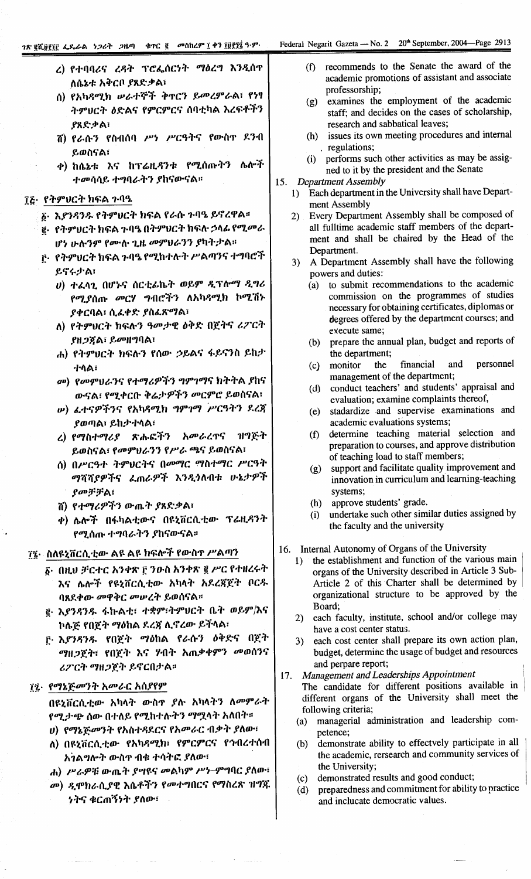# ገጽ ፪ሺ፱፻፲፫ ፌዴራል *ነጋ*ሪት *ጋ*ዜጣ ቁተር ፪ መስከረም ፲ ቀን ፲፱፻፶፯ ዓ·ም·

- ረ) የተባባሪና ረዳት ፕሮፌሰርነት ማዕረግ እንዲሰዋ ለሴኔቱ አቅርቦ ያጸድቃል፣
- ሰ) የአካዳሚክ ሥራተኞች ቅጥርን ይመረምራል፣ የነፃ ትምህርት ዕድልና የምርምርና ሰባቲካል እረፍቶችን ያጸድቃል፡
- ሽ) የራሱን የስብሰባ ሥነ ሥርዓትና የውስዋ ደንብ ይወስናል፣
- ቀ) ከሴኔቱ እና ከፕሬዚዳንቱ የሚሰጡትን ሌሎች ተመሳሳይ ተግባራትን ያከናውናል።

#### ፲፭· የትምህርት ክፍል ጉባዔ

- δ· እ*ያንዳንዱ* የትምህርት ክፍል የራሱ ጉባዔ ይኖረዋል፡፡
- ፪· የትምህርት ክፍል ጉባዔ በትምህርት ክፍሉ ኃላፊ የሚ*መ*ራ ሆነ ሁሉንም የሙሉ ጊዜ መምህራንን ያካትታል።
- ፫· የትምህርት ክፍል ጉባዔ የሚከተሉት ሥልጣንና ተግባሮች ይኖሩታል፣
	- ሀ) ተፈላጊ በሆኑና ሰርቲፊኬት ወይም ዲፕሎማ ዲግሪ የሚያሰጡ መርሃ ግብሮችን ለአካዳሚክ ኮሚሽኑ ያቀርባል፣ ሲፌቀድ ያስፌጽማል፣
	- ለ) የትምህርት ክፍሉን ዓመታዊ ዕቅድ በጀትና ሪፖርት ያዘጋጀል፣ ይመዘግባል፣
	- ሐ) የትምሀርት ክፍሉን የሰው ኃይልና ፋይናንስ ይከታ ተላል፣
	- መ) የመምህራንና የተማሪዎችን ግምገማና ክትትል ያከና ውናል፣ የሚቀርቡ ቅሬታዎችን መርምሮ ይወስናል፣
	- ω) ፈተናዎችንና የአካዳሚክ ግምገማ ሥርዓትን ደረጃ ያወጣል፣ ይከታተላል፣
	- ረ) የማስተማሪያ ጽሑፎችን አመራረዋና ዝግጅት ይወስናል፣ የመምህራንን የሥራ ጫና ይወስናል፣
	- ስ) በሥርዓተ ትምህርትና በመማር ማስተማር ሥርዓት ማሻሻያዎችና ፌጠራዎች እንዲጎለብቱ ሁኔታዎች ያመቻቻል፡
	- ሽ) የተማሪዎችን ውጤት ያጸድቃል፣
	- ቀ) ሌሎች በፋካልቲውና በዩኒቨርሲቲው ፕሬዚዳንት የሚሰጡ ተግባራትን ያከናውናል።

# ፲፮· ስለዩኒቨርሲቲው ልዩ ልዩ ክፍሎች የውስዋ ሥልጣን

- δ· በዚህ ቻርተር አንቀጽ ፫ ንውስ አንቀጽ ፪ ሥር የተዘረሩት እና ሌሎች የዩኒቨርሲቲው አካላት አደረጃጀት ቦርዱ ባጸደቀው መዋቅር መሠረት ይወሰናል።
- ፪ እ*ያንዳንዱ* ፋኩልቲ፣ ተቋም፣ትምህርት ቤት ወይም/እና ኮሌጅ የበጀት ማዕከል ደረጃ ሊኖረው ይችላል፣
- ፫ እ*ያንዳንዱ የ*በጀት ማዕከል የራሱን ዕቅድና በጀት *ግ*ዘ*ጋ*ጀት፣ የበጀት እና ሃብት አጠቃቀምን መወሰንና ሪፖርት ማዘጋጀት ይኖርበታል።

# ፲፯· የማኔጅመንት አመራር አሰያየም

በዩኒቨርሲቲው አካላት ውስዋ ያሉ አካላትን ለመምራት የሚታጭ ሰው በተለይ የሚከተሉትን ማሟላት አለበት። ሀ) የማኔጅመንት የአስተዳደርና የአመራር ብቃት ያለው፣

- ለ) በዩኒቨርሲቲው የአካዳሚክ፣ የምርምርና የኅብረተሰብ አንልግሎት ውስዋ ብቁ ተሳትፎ ያለው፣
- ሐ) ሥራዎቹ ውጤት ያሣዩና መልካም ሥነ-ምግባር ያለው፣
- መ) ዲሞክራሲያዊ እሴቶችን የመተግበርና የማስረጽ ዝግጁ **ነትና ቁርጠኝነት ያለው**፣
- recommends to the Senate the award of the  $(f)$ academic promotions of assistant and associate professorship;
- examines the employment of the academic  $(g)$ staff: and decides on the cases of scholarship, research and sabbatical leaves;
- (h) issues its own meeting procedures and internal . regulations;
- (i) performs such other activities as may be assigned to it by the president and the Senate
- 15. Department Assembly
	- 1) Each department in the University shall have Department Assembly
	- Every Department Assembly shall be composed of  $2)$ all fulltime academic staff members of the department and shall be chaired by the Head of the Department.
	- 3) A Department Assembly shall have the following powers and duties:
		- (a) to submit recommendations to the academic commission on the programmes of studies necessary for obtaining certificates, diplomas or degrees offered by the department courses; and execute same;
		- (b) prepare the annual plan, budget and reports of the department;
		- (c) monitor financial and personnel the management of the department;
		- (d) conduct teachers' and students' appraisal and evaluation; examine complaints thereof,
		- (e) stadardize and supervise examinations and academic evaluations systems;
		- determine teaching material selection and  $(f)$ preparation to courses, and approve distribution of teaching load to staff members;
		- support and facilitate quality improvement and  $(g)$ innovation in curriculum and learning-teaching systems;
		- approve students' grade.  $(h)$
		- undertake such other similar duties assigned by  $(i)$ the faculty and the university
- 16. Internal Autonomy of Organs of the University
	- the establishment and function of the various main  $1)$ organs of the University described in Article 3 Sub-Article 2 of this Charter shall be determined by organizational structure to be approved by the Board;
	- 2) each faculty, institute, school and/or college may have a cost center status.
	- 3) each cost center shall prepare its own action plan, budget, determine the usage of budget and resources and perpare report;

# 17. Management and Leaderships Appointment

The candidate for different positions available in different organs of the University shall meet the following criteria;

- managerial administration and leadership com- $(a)$ petence;
- demonstrate ability to effectvely participate in all  $(b)$ the academic, rersearch and community services of the University;
- (c) demonstrated results and good conduct;
- preparedness and commitment for ability to practice  $(d)$ and inclucate democratic values.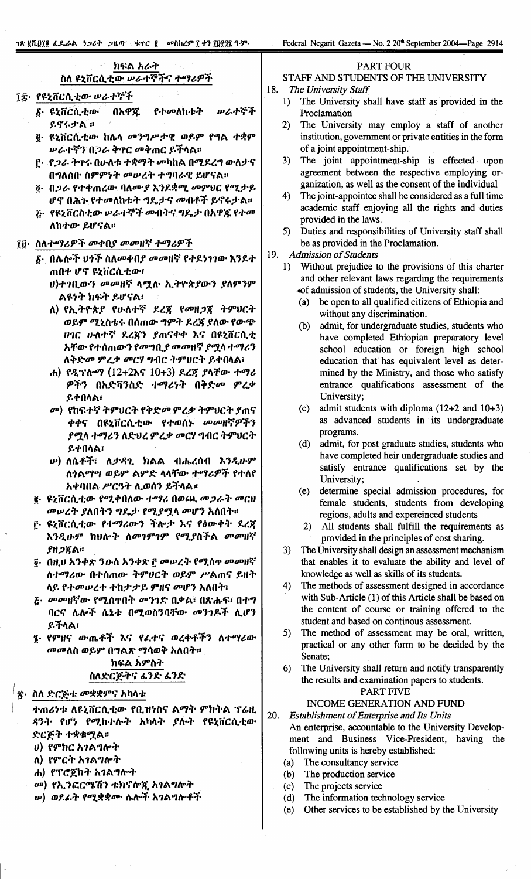Federal Negarit Gazeta — No. 2 20<sup>th</sup> September 2004—Page 2914

# ክፍል አራት ስለ ዩኒቨርሲቲው ሥራተኞችና ተማሪዎች ፲፰· የዩኒቨርሲቲው ሥራተኞች

- **ሠራተኞች δ. ዩኒቨርሲቲው** በአዋጁ የተመለከቱት ይኖሩታል ።
- ፪· ዩኒቨርሲቲው ከሌላ መንግሥታዊ ወይም የግል ተቋም ሥራተኛን በጋራ ቅኖር መቅጠር ይችላል።
- ቮ· የ*ጋራ* ቅጥሩ በሁለቱ ተቋማት መካከል በሚደረግ ውለታና በግለሰቡ ስምምነት መሠረት ተግባራዊ ይሆናል።
- <u>ē</u>· በ*ጋራ* የተቀጠረው ባለሙያ እንደቋሚ መምህር የሚታይ ሆኖ በሕጉ የተመለከቱት ግዴታና መብቶች ይኖሩታል።
- <u>ਣ · የዩኒቨርስቲው ሥራተኞች መብትና ግዴታ በአዋጁ የተመ</u> ለከተው ይሆናል።
- ፲፱· ስለተማሪዎች መቀበያ መመዘኛ ተማሪዎች
	- ፩· በሌሎች ህንች ስለመቀበ*ያ መ*መዘኛ የተደነገገው እንደተ ጠበቀ ሆኖ ዩኒቨርሲቲው፣
		- ሀ)ተገቢውን መመዘኛ ላሟሉ ኢትዮጵያውን ያለምንም ልዩነት ክፍት ይሆናል፣
		- ለ) የኢትዮጵያ የሁለተኛ ደረጃ የመዘጋጃ ትምህርት ወይም ሚኒስቴሩ በሰጠው ግምት ደረጃ ያለው የውጭ **ሀገር ሁለተኛ ደረጃን ያ**ጠናቀቀ እና በዩኒቨርሲቲ አቸው የተሰጠውን የመግቢያ መመዘኛ ያሟላ ተማሪን ለቅድመ ምረቃ መርሃ ግብር ትምሀርት ይቀበላል፣
		- ሐ) የዲፕሎማ (12+2እና 10+3) ደረጀ ያላቸው ተማሪ ዎችን በአድቫንስድ ተማሪነት በቅድመ ምረቃ ይቀበላል፣
		- መ) የከፍተኛ ትምህርት የቅድመ ምረቃ ትምህርት ያጠና ቀቀና በዩኒቨርሲቲው የተወሰኑ *መመ*ዘኛዎችን ያሟላ ተማሪን ለድህረ ምረቃ መርሃ ግብር ትምህርት **ይቀበላል፣**
		- *ν***) ለሴቶች፣ ለታ**ዳጊ ክልል ብሔረሰብ እንዲሁም ለንልማሣ ወይም ልምድ ላላቸው ተማሪዎች የተለየ አቀባበል ሥርዓት ሊወሰን ይችላል፡፡
	- **፪· ዩኒቨርሲቲው የሚቀበለው ተማሪ በወጪ መጋራት መርህ** መሥረት ያለበትን ግዴታ የሚያሟላ መሆን አለበት።
	- ፫· ዩኒቨርሲቲው የተማሪውን ችሎታ እና የዕውቀት ደረጃ እንዲሁም ከህሎት ለመገምገም የሚያስችል መመዘኛ ያዘጋጀል።
	- ፬· በዚህ አንቀጽ ንውስ አንቀጽ ፫ መሥረት የሚሰዋ መመዘኛ ለተማሪው በተሰጠው ትምሀርት ወይም ሥልጠና ይዘት ላይ የተመሠረተ ተከታታይ ምዘና መሆን አለበት፣
	- ሯ· መመዘኛው የሚሰዋበት መንገድ በቃል፣ በጽሑፍ፣ በተግ ባርና ሌሎች ሴኔቱ በሚወስንባቸው መንገዶች ሲሆን ይችላል፣
	- ፯· የምዘና ውጤቶች እና የፌተና ወረቀቶችን ለተማሪው *መመ*ለስ ወይም በግልጽ ማሳወቅ አለበት። ክፍል አምስት ስለድርጅትና ፈንድ ፈንድ
- ጽ· ስለ ድርጅቱ መቋቋምና አካላቱ

ተጠሪነቱ ለዩኒቨርሲቲው የቢዝነስና ልማት ምክትል ፕሬዚ ዳንት የሆነ የሚከተሉት አካላት ያሉት የዩኒቨርሲቲው ድርጅት ተቋቁሟል።

*ህ*) የምክር አገልግሎት

- ለ) የምርት አገልግሎት
- ሐ) የፕሮጀክት አገልግሎት
- መ) የኢንፎርሜሽን ቴክኖሎጂ አገልግሎት
- **w) ወደፊት የሚ**ቋቋሙ ሌሎች አገልግሎቶች
- PART FOUR
- STAFF AND STUDENTS OF THE UNIVERSITY
- 18. The University Staff
	- The University shall have staff as provided in the  $1)$ Proclamation
	- $2)$ The University may employ a staff of another institution, government or private entities in the form of a joint appointment-ship.
	- 3) The joint appointment-ship is effected upon agreement between the respective employing organization, as well as the consent of the individual
	- $4)$ The joint-appointee shall be considered as a full time academic staff enjoying all the rights and duties provided in the laws.
	- 5) Duties and responsibilities of University staff shall be as provided in the Proclamation.

19. **Admission of Students** 

- Without prejudice to the provisions of this charter  $1$ and other relevant laws regarding the requirements of admission of students, the University shall:
	- be open to all qualified citizens of Ethiopia and  $(a)$ without any discrimination.
	- admit, for undergraduate studies, students who  $(b)$ have completed Ethiopian preparatory level school education or foreign high school education that has equivalent level as determined by the Ministry, and those who satisfy entrance qualifications assessment of the University:
	- (c) admit students with diploma  $(12+2$  and  $10+3)$ as advanced students in its undergraduate programs.
	- (d) admit, for post graduate studies, students who have completed heir undergraduate studies and satisfy entrance qualifications set by the University;
	- (e) determine special admission procedures, for female students, students from developing regions, adults and expereinced students
	- 2) All students shall fulfill the requirements as provided in the principles of cost sharing.
- $3)$ The University shall design an assessment mechanism that enables it to evaluate the ability and level of knowledge as well as skills of its students.
- $4)$ The methods of assessment designed in accordance with Sub-Article (1) of this Article shall be based on the content of course or training offered to the student and based on continous assessment.
- $5)$ The method of assessment may be oral, written, practical or any other form to be decided by the Senate;
- 6) The University shall return and notify transparently the results and examination papers to students.

## PART FIVE

# INCOME GENERATION AND FUND

- 20. **Establishment of Enterprise and Its Units** An enterprise, accountable to the University Development and Business Vice-President, having the following units is hereby established:
	- The consultancy service  $(a)$
	- The production service  $(b)$
	- $(c)$ The projects service
	- The information technology service  $(d)$
	- Other services to be established by the University  $(e)$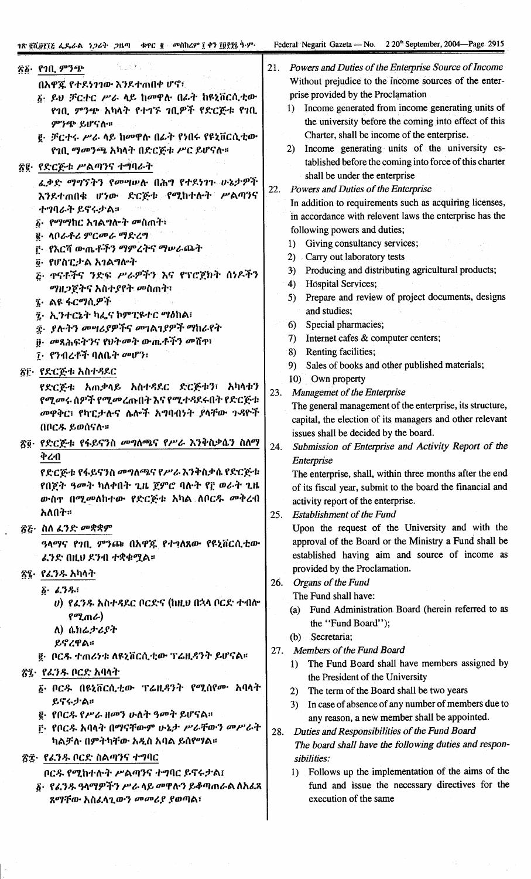$\ddot{\phantom{a}}$ 

ļ,

 $\hat{\boldsymbol{\beta}}$ 

| 원 국 원.<br>፳፩· የገቢ ምንጭ<br>በአዋጇ የተደነገገው እንደተጠበቀ ሆኖ፣<br>δ· ይህ ቻርተር ሥራ ላይ ከመዋሉ በፊት ከዩኒቨርሲቲው<br>የገቢ ምንጭ አካላት የተገኙ ገቢዎች የድርጅቱ የገቢ<br>ምንጭ ይሆናሉ።                                                                                                                                                                                               | Powers and Duties of the Enterprise Source of Income<br>21.<br>Without prejudice to the income sources of the enter-<br>prise provided by the Proclamation<br>Income generated from income generating units of<br>$1$ ).<br>the university before the coming into effect of this<br>Charter, shall be income of the enterprise.                                                                                                                                                   |
|----------------------------------------------------------------------------------------------------------------------------------------------------------------------------------------------------------------------------------------------------------------------------------------------------------------------------------------|-----------------------------------------------------------------------------------------------------------------------------------------------------------------------------------------------------------------------------------------------------------------------------------------------------------------------------------------------------------------------------------------------------------------------------------------------------------------------------------|
| <u>፪</u> · ቻርተሩ ሥራ ላይ ከመዋሉ በፊት የነበሩ የዩኒቨርሲቲው<br>የገቢ ማመንጫ አካላት በድርጅቱ ሥር ይሆናሉ።<br>፳፪· የድርጅቱ ሥልጣንና ተግባራት<br>ፌቃድ ማግኘትን የመሣሠሉ በሕግ የተደነገጉ ሁኔታዎች<br>እንደተጠበቁ ሆነው ድርጅቱ የሚከተሉት ሥልጣንና<br>ተግባራት ይኖሩታል።<br>δ· የማማከር አገልግሎት መስጠት፣<br>፪· ሳቦራቶሪ ምርመራ ማድረግ<br>፫· የእርሻ ውጤቶችን ማምረትና ማሥራጨት<br>፬· የሆስፒታል አገልግሎት<br><u>ሯ ተናቶችና ንድፍ ሥራዎችን እና የፕሮጀክት ሰነዶችን</u> | Income generating units of the university es-<br>2)<br>tablished before the coming into force of this charter<br>shall be under the enterprise<br>Powers and Duties of the Enterprise<br>22.<br>In addition to requirements such as acquiring licenses,<br>in accordance with relevent laws the enterprise has the<br>following powers and duties;<br>Giving consultancy services;<br>Carry out laboratory tests<br>2)<br>Producing and distributing agricultural products;<br>3) |
| <i>ማዚጋጀትና አስተያየት መስ</i> ጠተ፣<br>ൂ· ልዩ ፋርማሲዎች<br>፯· ኢንተርኔት ካፌና ኮምፒዩተር ማዕከል፣<br>ቿ· ያሉትን መሣሪያዎችና መገልገያዎች ማከራየት<br>፱· መጻሕፍትንና የህትመት ውጤቶችን መሸዋ፣<br>7 · የንብረቶች ባለቤት መሆን፣                                                                                                                                                                      | Hospital Services;<br>4)<br>Prepare and review of project documents, designs<br>5)<br>and studies;<br>Special pharmacies;<br>6)<br>Internet cafes & computer centers;<br>7)<br>Renting facilities;<br>$\langle 8 \rangle$<br>Sales of books and other published materials;<br>9)                                                                                                                                                                                                  |
| ጽ፫• የድርጅቱ አስተዳደር<br>የድርጅቱ አጠቃላይ አስተዳደር ድርጅቱን፣ አካላቱን<br>የሚመሩ ሰዎች የሚመረጡበት እና የሚተዳደሩበት የድርጅቱ<br>መዋቅር፣ የካፒታሉና ሌሎች አግባብነት ያላቸው ጉዳዮች<br>በቦርዱ ይወሰናሉ።<br>፳፬· የድርጅቱ የፋይናንስ መግለጫና የሥራ እንቅስቃሴን ስለማ<br>ቅረብ                                                                                                                                         | 10) Own property<br><b>Managemet of the Enterprise</b><br>23.<br>The general management of the enterprise, its structure,<br>capital, the election of its managers and other relevant<br>issues shall be decided by the board.<br>Submission of Enterprise and Activity Report of the<br>24.<br>Enterprise                                                                                                                                                                        |
| የድርጅቱ የፋይናንስ መግለጫና የሥራ እንቅስቃሴ የድርጅቱ<br>የበጀት ዓመት ካለቀበት ጊዜ ጀምሮ ባሉት የ፫ ወራት ጊዜ<br>ውስዋ በሚመለከተው የድርጅቱ አካል ለቦር <i>ዱ መቅረብ</i><br>አለበት።<br>፳፭· ስለ ፈንድ መቋቋም<br>ዓላማና የገቢ ምንጮ በአዋጁ የተገለጸው የዩኒቨርሲቲው                                                                                                                                                 | The enterprise, shall, within three months after the end<br>of its fiscal year, submit to the board the financial and<br>activity report of the enterprise.<br><b>Establishment of the Fund</b><br>25.<br>Upon the request of the University and with the<br>approval of the Board or the Ministry a Fund shall be                                                                                                                                                                |
| ፈንድ በዚህ ደንብ ተቋቁሟል።<br>፳፯· የፈንዱ አካላት<br>6.331<br><i>ህ</i> ) <i>የፌንዱ</i> አስተዳደር ቦርድና (ከዚህ በኋላ ቦርድ ተብሎ<br>የሚጠራ)<br>ለ) ሴክሬታሪያት                                                                                                                                                                                                             | established having aim and source of income as<br>provided by the Proclamation.<br>Organs of the Fund<br>26.<br>The Fund shall have:<br>(a) Fund Administration Board (herein referred to as<br>the "Fund Board");                                                                                                                                                                                                                                                                |
| ይኖረዋል።<br>፪· ቦርዱ ተጠሪነቱ ለዩኒቨርሲቲው ፕሬዚዳንት ይሆናል።<br>ጽ፯· የፌንዱ ቦርድ አባላት<br>፩· ቦርዱ በዩኒቨርሲቲው ፕሬዚዳንት የሚሰየሙ አባላት<br>ይኖሩታል።<br>@. የበርዱ የሥራ ዘመን ሁለት ዓመት ይሆናል።<br><u>i</u> . የቦርዱ አባላት በማናቸውም ሁኔታ ሥራቸውን መሥራት                                                                                                                                        | (b) Secretaria;<br>Members of the Fund Board<br>27.<br>The Fund Board shall have members assigned by<br>1)<br>the President of the University<br>The term of the Board shall be two years<br>2)<br>In case of absence of any number of members due to<br>3)<br>any reason, a new member shall be appointed.                                                                                                                                                                       |
| ካልቻሉ በምትካቸው አዲስ አባል ይሰየማል።<br>ጽቋ የፈንዱ ቦርድ ስልጣንና ተግባር<br>ቦርዱ የሚከተሉት ሥልጣንና ተግባር ይኖሩታል፤<br>፩· የፌንዱ ዓላማዎችን ሥራ ላይ መዋሉን ይቆጣጠራል ለአፈጻ<br>ጸማቸው አስፈላጊውን <i>መመሪያ ያ</i> ወጣል፣                                                                                                                                                                       | Duties and Responsibilities of the Fund Board<br>28.<br>The board shall have the following duties and respon-<br>sibilities:<br>1) Follows up the implementation of the aims of the<br>fund and issue the necessary directives for the<br>execution of the same                                                                                                                                                                                                                   |

 $\hat{\mathcal{A}}$